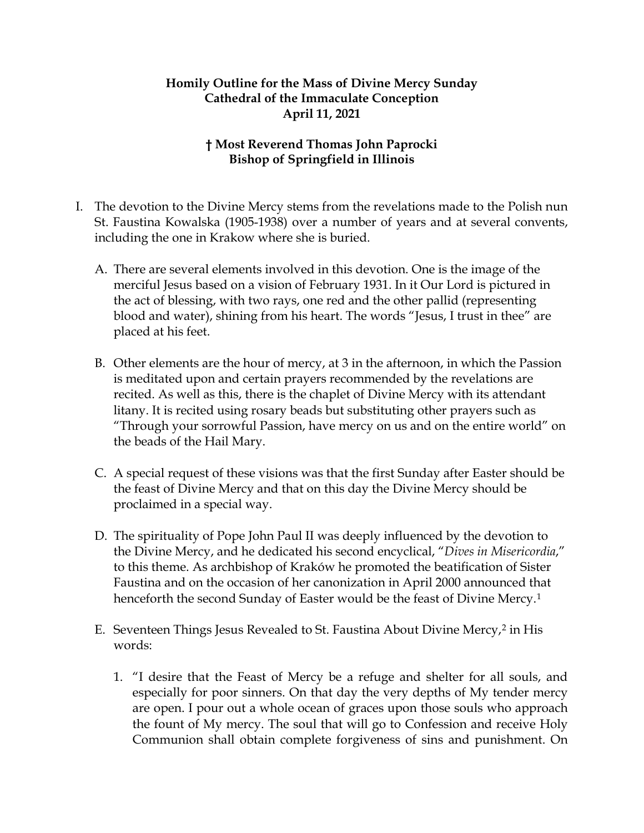## **Homily Outline for the Mass of Divine Mercy Sunday Cathedral of the Immaculate Conception April 11, 2021**

## **† Most Reverend Thomas John Paprocki Bishop of Springfield in Illinois**

- I. The devotion to the Divine Mercy stems from the revelations made to the Polish nun St. Faustina Kowalska (1905-1938) over a number of years and at several convents, including the one in Krakow where she is buried.
	- A. There are several elements involved in this devotion. One is the image of the merciful Jesus based on a vision of February 1931. In it Our Lord is pictured in the act of blessing, with two rays, one red and the other pallid (representing blood and water), shining from his heart. The words "Jesus, I trust in thee" are placed at his feet.
	- B. Other elements are the hour of mercy, at 3 in the afternoon, in which the Passion is meditated upon and certain prayers recommended by the revelations are recited. As well as this, there is the chaplet of Divine Mercy with its attendant litany. It is recited using rosary beads but substituting other prayers such as "Through your sorrowful Passion, have mercy on us and on the entire world" on the beads of the Hail Mary.
	- C. A special request of these visions was that the first Sunday after Easter should be the feast of Divine Mercy and that on this day the Divine Mercy should be proclaimed in a special way.
	- D. The spirituality of Pope John Paul II was deeply influenced by the devotion to the Divine Mercy, and he dedicated his second encyclical, "*Dives in Misericordia*," to this theme. As archbishop of Kraków he promoted the beatification of Sister Faustina and on the occasion of her canonization in April 2000 announced that henceforth the second Sunday of Easter would be the feast of Divine Mercy.<sup>[1](#page-3-0)</sup>
	- E. Seventeen Things Jesus Revealed to St. Faustina About Divine Mercy,<sup>[2](#page-3-1)</sup> in His words:
		- 1. "I desire that the Feast of Mercy be a refuge and shelter for all souls, and especially for poor sinners. On that day the very depths of My tender mercy are open. I pour out a whole ocean of graces upon those souls who approach the fount of My mercy. The soul that will go to Confession and receive Holy Communion shall obtain complete forgiveness of sins and punishment. On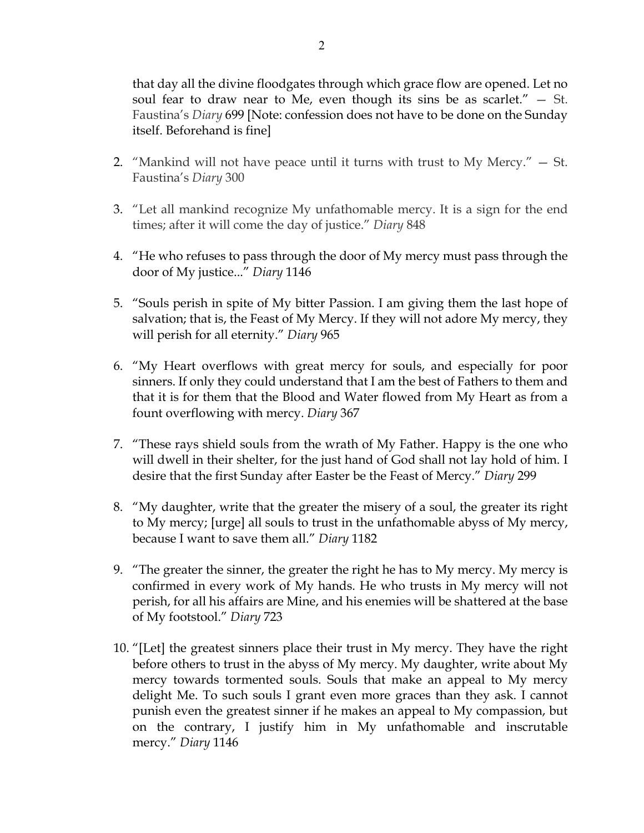that day all the divine floodgates through which grace flow are opened. Let no soul fear to draw near to Me, even though its sins be as scarlet."  $-$  St. Faustina's *Diary* 699 [Note: confession does not have to be done on the Sunday itself. Beforehand is fine]

- 2. "Mankind will not have peace until it turns with trust to My Mercy." St. Faustina's *Diary* 300
- 3. "Let all mankind recognize My unfathomable mercy. It is a sign for the end times; after it will come the day of justice." *Diary* 848
- 4. "He who refuses to pass through the door of My mercy must pass through the door of My justice..." *Diary* 1146
- 5. "Souls perish in spite of My bitter Passion. I am giving them the last hope of salvation; that is, the Feast of My Mercy. If they will not adore My mercy, they will perish for all eternity." *Diary* 965
- 6. "My Heart overflows with great mercy for souls, and especially for poor sinners. If only they could understand that I am the best of Fathers to them and that it is for them that the Blood and Water flowed from My Heart as from a fount overflowing with mercy. *Diary* 367
- 7. "These rays shield souls from the wrath of My Father. Happy is the one who will dwell in their shelter, for the just hand of God shall not lay hold of him. I desire that the first Sunday after Easter be the Feast of Mercy." *Diary* 299
- 8. "My daughter, write that the greater the misery of a soul, the greater its right to My mercy; [urge] all souls to trust in the unfathomable abyss of My mercy, because I want to save them all." *Diary* 1182
- 9. "The greater the sinner, the greater the right he has to My mercy. My mercy is confirmed in every work of My hands. He who trusts in My mercy will not perish, for all his affairs are Mine, and his enemies will be shattered at the base of My footstool." *Diary* 723
- 10. "[Let] the greatest sinners place their trust in My mercy. They have the right before others to trust in the abyss of My mercy. My daughter, write about My mercy towards tormented souls. Souls that make an appeal to My mercy delight Me. To such souls I grant even more graces than they ask. I cannot punish even the greatest sinner if he makes an appeal to My compassion, but on the contrary, I justify him in My unfathomable and inscrutable mercy." *Diary* 1146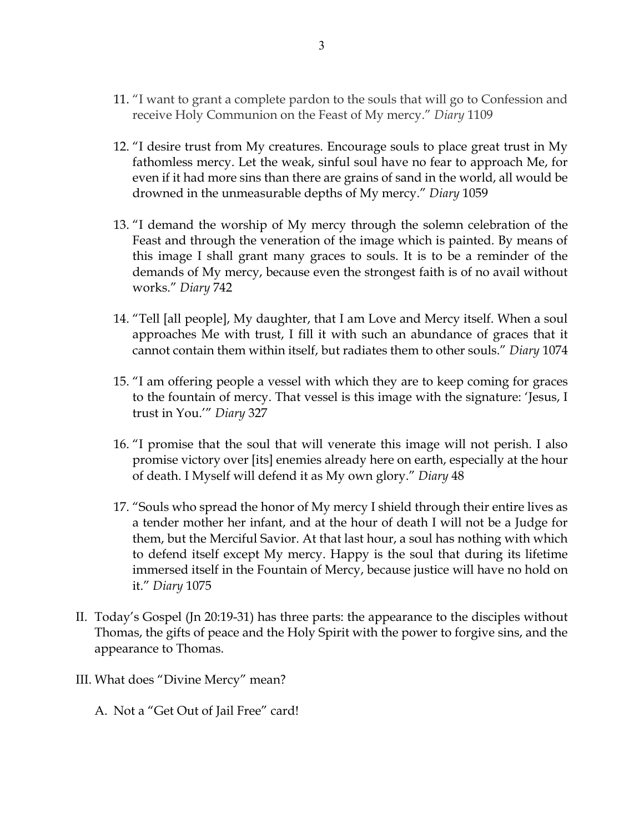- 11. "I want to grant a complete pardon to the souls that will go to Confession and receive Holy Communion on the Feast of My mercy." *Diary* 1109
- 12. "I desire trust from My creatures. Encourage souls to place great trust in My fathomless mercy. Let the weak, sinful soul have no fear to approach Me, for even if it had more sins than there are grains of sand in the world, all would be drowned in the unmeasurable depths of My mercy." *Diary* 1059
- 13. "I demand the worship of My mercy through the solemn celebration of the Feast and through the veneration of the image which is painted. By means of this image I shall grant many graces to souls. It is to be a reminder of the demands of My mercy, because even the strongest faith is of no avail without works." *Diary* 742
- 14. "Tell [all people], My daughter, that I am Love and Mercy itself. When a soul approaches Me with trust, I fill it with such an abundance of graces that it cannot contain them within itself, but radiates them to other souls." *Diary* 1074
- 15. "I am offering people a vessel with which they are to keep coming for graces to the fountain of mercy. That vessel is this image with the signature: 'Jesus, I trust in You.'" *Diary* 327
- 16. "I promise that the soul that will venerate this image will not perish. I also promise victory over [its] enemies already here on earth, especially at the hour of death. I Myself will defend it as My own glory." *Diary* 48
- 17. "Souls who spread the honor of My mercy I shield through their entire lives as a tender mother her infant, and at the hour of death I will not be a Judge for them, but the Merciful Savior. At that last hour, a soul has nothing with which to defend itself except My mercy. Happy is the soul that during its lifetime immersed itself in the Fountain of Mercy, because justice will have no hold on it." *Diary* 1075
- II. Today's Gospel (Jn 20:19-31) has three parts: the appearance to the disciples without Thomas, the gifts of peace and the Holy Spirit with the power to forgive sins, and the appearance to Thomas.
- III. What does "Divine Mercy" mean?
	- A. Not a "Get Out of Jail Free" card!